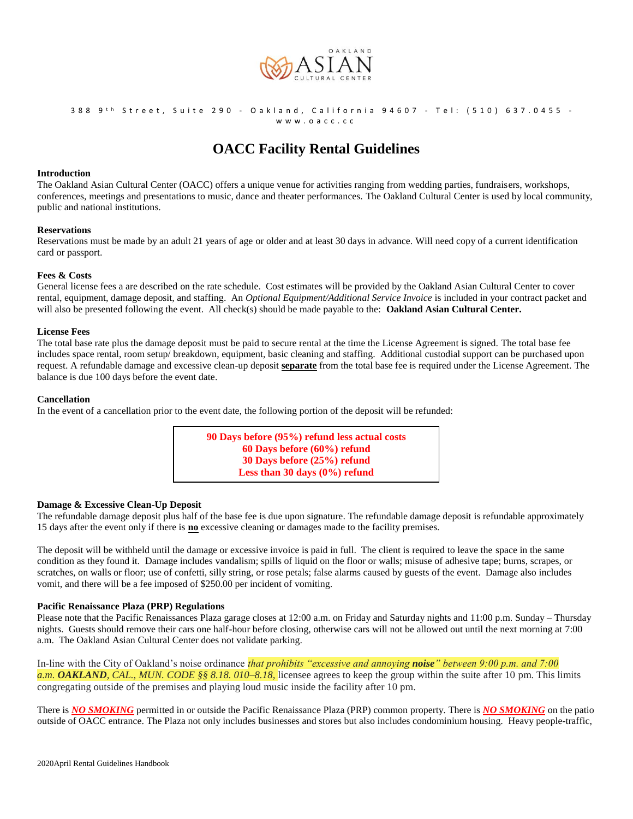

# 388 9<sup>th</sup> Street, Suite 290 - Oakland, California 94607 - Tel: (510) 637.0455 -

w w w . o a c c . c c

# **OACC Facility Rental Guidelines**

# **Introduction**

The Oakland Asian Cultural Center (OACC) offers a unique venue for activities ranging from wedding parties, fundraisers, workshops, conferences, meetings and presentations to music, dance and theater performances. The Oakland Cultural Center is used by local community, public and national institutions.

# **Reservations**

Reservations must be made by an adult 21 years of age or older and at least 30 days in advance. Will need copy of a current identification card or passport.

# **Fees & Costs**

General license fees a are described on the rate schedule. Cost estimates will be provided by the Oakland Asian Cultural Center to cover rental, equipment, damage deposit, and staffing. An *Optional Equipment/Additional Service Invoice* is included in your contract packet and will also be presented following the event. All check(s) should be made payable to the: **Oakland Asian Cultural Center.** 

#### **License Fees**

The total base rate plus the damage deposit must be paid to secure rental at the time the License Agreement is signed. The total base fee includes space rental, room setup/ breakdown, equipment, basic cleaning and staffing. Additional custodial support can be purchased upon request. A refundable damage and excessive clean-up deposit **separate** from the total base fee is required under the License Agreement. The balance is due 100 days before the event date.

# **Cancellation**

In the event of a cancellation prior to the event date, the following portion of the deposit will be refunded:



# **Damage & Excessive Clean-Up Deposit**

The refundable damage deposit plus half of the base fee is due upon signature. The refundable damage deposit is refundable approximately 15 days after the event only if there is **no** excessive cleaning or damages made to the facility premises.

The deposit will be withheld until the damage or excessive invoice is paid in full. The client is required to leave the space in the same condition as they found it. Damage includes vandalism; spills of liquid on the floor or walls; misuse of adhesive tape; burns, scrapes, or scratches, on walls or floor; use of confetti, silly string, or rose petals; false alarms caused by guests of the event. Damage also includes vomit, and there will be a fee imposed of \$250.00 per incident of vomiting.

# **Pacific Renaissance Plaza (PRP) Regulations**

Please note that the Pacific Renaissances Plaza garage closes at 12:00 a.m. on Friday and Saturday nights and 11:00 p.m. Sunday – Thursday nights. Guests should remove their cars one half-hour before closing, otherwise cars will not be allowed out until the next morning at 7:00 a.m. The Oakland Asian Cultural Center does not validate parking.

In-line with the City of Oakland's noise ordinance *that prohibits "excessive and annoying noise" between 9:00 p.m. and 7:00 a.m. OAKLAND, CAL., MUN. CODE §§ 8.18. 010–8.18,* licensee agrees to keep the group within the suite after 10 pm. This limits congregating outside of the premises and playing loud music inside the facility after 10 pm.

There is *NO SMOKING* permitted in or outside the Pacific Renaissance Plaza (PRP) common property. There is *NO SMOKING* on the patio outside of OACC entrance. The Plaza not only includes businesses and stores but also includes condominium housing. Heavy people-traffic,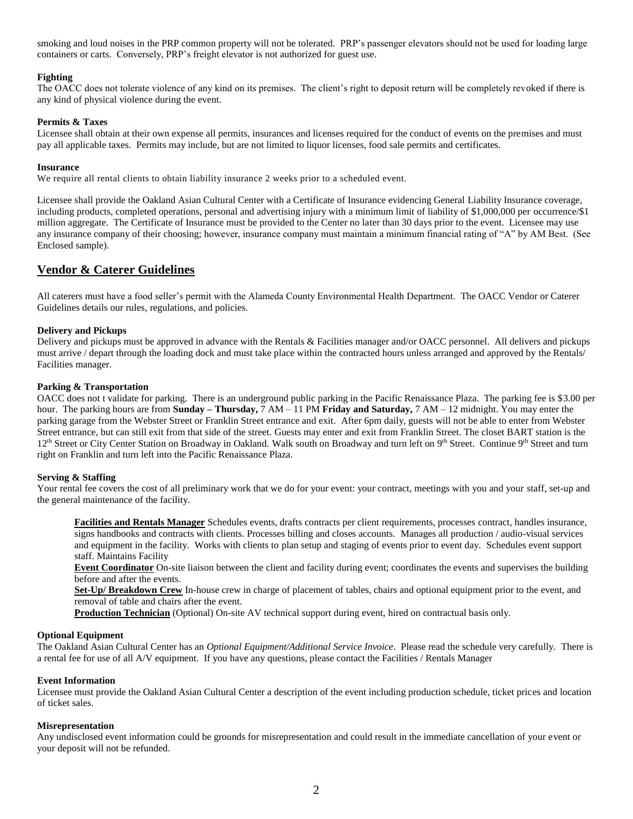smoking and loud noises in the PRP common property will not be tolerated. PRP's passenger elevators should not be used for loading large containers or carts. Conversely, PRP's freight elevator is not authorized for guest use.

# **Fighting**

The OACC does not tolerate violence of any kind on its premises. The client's right to deposit return will be completely revoked if there is any kind of physical violence during the event.

# **Permits & Taxes**

Licensee shall obtain at their own expense all permits, insurances and licenses required for the conduct of events on the premises and must pay all applicable taxes. Permits may include, but are not limited to liquor licenses, food sale permits and certificates.

# **Insurance**

We require all rental clients to obtain liability insurance 2 weeks prior to a scheduled event.

Licensee shall provide the Oakland Asian Cultural Center with a Certificate of Insurance evidencing General Liability Insurance coverage, including products, completed operations, personal and advertising injury with a minimum limit of liability of \$1,000,000 per occurrence/\$1 million aggregate. The Certificate of Insurance must be provided to the Center no later than 30 days prior to the event. Licensee may use any insurance company of their choosing; however, insurance company must maintain a minimum financial rating of "A" by AM Best. (See Enclosed sample).

# **Vendor & Caterer Guidelines**

All caterers must have a food seller's permit with the Alameda County Environmental Health Department. The OACC Vendor or Caterer Guidelines details our rules, regulations, and policies.

# **Delivery and Pickups**

Delivery and pickups must be approved in advance with the Rentals & Facilities manager and/or OACC personnel. All delivers and pickups must arrive / depart through the loading dock and must take place within the contracted hours unless arranged and approved by the Rentals/ Facilities manager.

# **Parking & Transportation**

OACC does not t validate for parking. There is an underground public parking in the Pacific Renaissance Plaza. The parking fee is \$3.00 per hour. The parking hours are from **Sunday – Thursday,** 7 AM – 11 PM **Friday and Saturday,** 7 AM – 12 midnight. You may enter the parking garage from the Webster Street or Franklin Street entrance and exit. After 6pm daily, guests will not be able to enter from Webster Street entrance, but can still exit from that side of the street. Guests may enter and exit from Franklin Street. The closet BART station is the 12<sup>th</sup> Street or City Center Station on Broadway in Oakland. Walk south on Broadway and turn left on 9<sup>th</sup> Street. Continue 9<sup>th</sup> Street and turn right on Franklin and turn left into the Pacific Renaissance Plaza.

# **Serving & Staffing**

Your rental fee covers the cost of all preliminary work that we do for your event: your contract, meetings with you and your staff, set-up and the general maintenance of the facility.

**Facilities and Rentals Manager** Schedules events, drafts contracts per client requirements, processes contract, handles insurance, signs handbooks and contracts with clients. Processes billing and closes accounts. Manages all production / audio-visual services and equipment in the facility. Works with clients to plan setup and staging of events prior to event day. Schedules event support staff. Maintains Facility

**Event Coordinator** On-site liaison between the client and facility during event; coordinates the events and supervises the building before and after the events.

**Set-Up/ Breakdown Crew** In-house crew in charge of placement of tables, chairs and optional equipment prior to the event, and removal of table and chairs after the event.

**Production Technician** (Optional) On-site AV technical support during event, hired on contractual basis only.

# **Optional Equipment**

The Oakland Asian Cultural Center has an *Optional Equipment/Additional Service Invoice*. Please read the schedule very carefully. There is a rental fee for use of all A/V equipment. If you have any questions, please contact the Facilities / Rentals Manager

# **Event Information**

Licensee must provide the Oakland Asian Cultural Center a description of the event including production schedule, ticket prices and location of ticket sales.

# **Misrepresentation**

Any undisclosed event information could be grounds for misrepresentation and could result in the immediate cancellation of your event or your deposit will not be refunded.